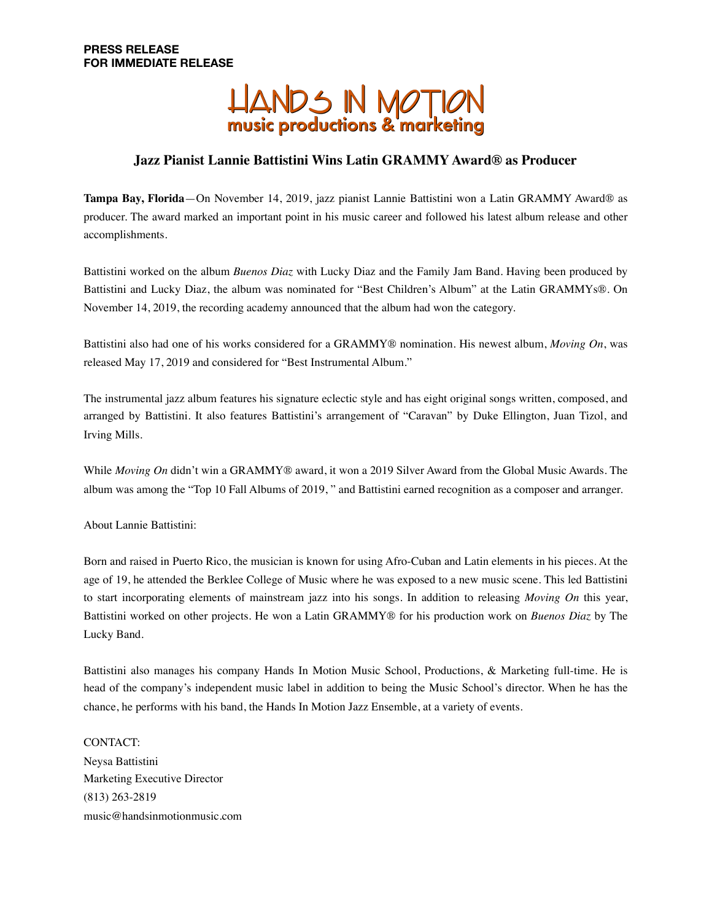

## **Jazz Pianist Lannie Battistini Wins Latin GRAMMY Award® as Producer**

**Tampa Bay, Florida**—On November 14, 2019, jazz pianist Lannie Battistini won a Latin GRAMMY Award® as producer. The award marked an important point in his music career and followed his latest album release and other accomplishments.

Battistini worked on the album *Buenos Diaz* with Lucky Diaz and the Family Jam Band. Having been produced by Battistini and Lucky Diaz, the album was nominated for "Best Children's Album" at the Latin GRAMMYs®. On November 14, 2019, the recording academy announced that the album had won the category.

Battistini also had one of his works considered for a GRAMMY® nomination. His newest album, *Moving On*, was released May 17, 2019 and considered for "Best Instrumental Album."

The instrumental jazz album features his signature eclectic style and has eight original songs written, composed, and arranged by Battistini. It also features Battistini's arrangement of "Caravan" by Duke Ellington, Juan Tizol, and Irving Mills.

While *Moving On* didn't win a GRAMMY® award, it won a 2019 Silver Award from the Global Music Awards. The album was among the "Top 10 Fall Albums of 2019, " and Battistini earned recognition as a composer and arranger.

About Lannie Battistini:

Born and raised in Puerto Rico, the musician is known for using Afro-Cuban and Latin elements in his pieces. At the age of 19, he attended the Berklee College of Music where he was exposed to a new music scene. This led Battistini to start incorporating elements of mainstream jazz into his songs. In addition to releasing *Moving On* this year, Battistini worked on other projects. He won a Latin GRAMMY® for his production work on *Buenos Diaz* by The Lucky Band.

Battistini also manages his company Hands In Motion Music School, Productions, & Marketing full-time. He is head of the company's independent music label in addition to being the Music School's director. When he has the chance, he performs with his band, the Hands In Motion Jazz Ensemble, at a variety of events.

CONTACT: Neysa Battistini Marketing Executive Director (813) 263-2819 music@handsinmotionmusic.com